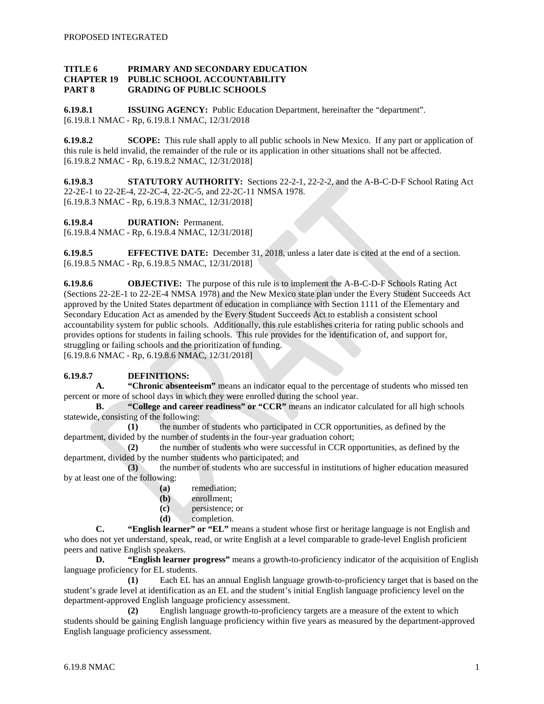### **TITLE 6 PRIMARY AND SECONDARY EDUCATION CHAPTER 19 PUBLIC SCHOOL ACCOUNTABILITY PART 8 GRADING OF PUBLIC SCHOOLS**

**6.19.8.1 ISSUING AGENCY:** Public Education Department, hereinafter the "department". [6.19.8.1 NMAC - Rp, 6.19.8.1 NMAC, 12/31/2018

**6.19.8.2 SCOPE:** This rule shall apply to all public schools in New Mexico. If any part or application of this rule is held invalid, the remainder of the rule or its application in other situations shall not be affected. [6.19.8.2 NMAC - Rp, 6.19.8.2 NMAC, 12/31/2018]

**6.19.8.3 STATUTORY AUTHORITY:** Sections 22-2-1, 22-2-2, and the A-B-C-D-F School Rating Act 22-2E-1 to 22-2E-4, 22-2C-4, 22-2C-5, and 22-2C-11 NMSA 1978. [6.19.8.3 NMAC - Rp, 6.19.8.3 NMAC, 12/31/2018]

**6.19.8.4 DURATION:** Permanent.

[6.19.8.4 NMAC - Rp, 6.19.8.4 NMAC, 12/31/2018]

**6.19.8.5 EFFECTIVE DATE:** December 31, 2018, unless a later date is cited at the end of a section. [6.19.8.5 NMAC - Rp, 6.19.8.5 NMAC, 12/31/2018]

**6.19.8.6 OBJECTIVE:** The purpose of this rule is to implement the A-B-C-D-F Schools Rating Act (Sections 22-2E-1 to 22-2E-4 NMSA 1978) and the New Mexico state plan under the Every Student Succeeds Act approved by the United States department of education in compliance with Section 1111 of the Elementary and Secondary Education Act as amended by the Every Student Succeeds Act to establish a consistent school accountability system for public schools. Additionally, this rule establishes criteria for rating public schools and provides options for students in failing schools. This rule provides for the identification of, and support for, struggling or failing schools and the prioritization of funding. [6.19.8.6 NMAC - Rp, 6.19.8.6 NMAC, 12/31/2018]

### **6.19.8.7 DEFINITIONS:**

**A. "Chronic absenteeism"** means an indicator equal to the percentage of students who missed ten percent or more of school days in which they were enrolled during the school year.

**B. "College and career readiness" or "CCR"** means an indicator calculated for all high schools statewide, consisting of the following:

**(1)** the number of students who participated in CCR opportunities, as defined by the department, divided by the number of students in the four-year graduation cohort;

**(2)** the number of students who were successful in CCR opportunities, as defined by the department, divided by the number students who participated; and

**(3)** the number of students who are successful in institutions of higher education measured by at least one of the following:

- **(a)** remediation;
- **(b)** enrollment;
- **(c)** persistence; or
- **(d)** completion.

**C. "English learner" or "EL"** means a student whose first or heritage language is not English and who does not yet understand, speak, read, or write English at a level comparable to grade-level English proficient peers and native English speakers.

**D. "English learner progress"** means a growth-to-proficiency indicator of the acquisition of English language proficiency for EL students.

**(1)** Each EL has an annual English language growth-to-proficiency target that is based on the student's grade level at identification as an EL and the student's initial English language proficiency level on the department-approved English language proficiency assessment.

**(2)** English language growth-to-proficiency targets are a measure of the extent to which students should be gaining English language proficiency within five years as measured by the department-approved English language proficiency assessment.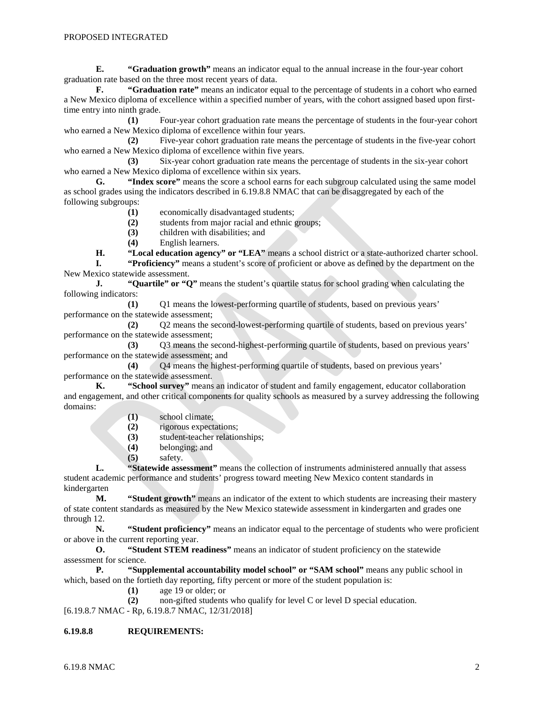**E. "Graduation growth"** means an indicator equal to the annual increase in the four-year cohort graduation rate based on the three most recent years of data.

**F. "Graduation rate"** means an indicator equal to the percentage of students in a cohort who earned a New Mexico diploma of excellence within a specified number of years, with the cohort assigned based upon firsttime entry into ninth grade.

**(1)** Four-year cohort graduation rate means the percentage of students in the four-year cohort who earned a New Mexico diploma of excellence within four years.

**(2)** Five-year cohort graduation rate means the percentage of students in the five-year cohort who earned a New Mexico diploma of excellence within five years.

**(3)** Six-year cohort graduation rate means the percentage of students in the six-year cohort who earned a New Mexico diploma of excellence within six years.<br> **G.** "Index score" means the score a school earns for

**G. "Index score"** means the score a school earns for each subgroup calculated using the same model as school grades using the indicators described in 6.19.8.8 NMAC that can be disaggregated by each of the following subgroups:

- **(1)** economically disadvantaged students;
- **(2)** students from major racial and ethnic groups;
- **(3)** children with disabilities; and
- **(4)** English learners.

**H. "Local education agency" or "LEA"** means a school district or a state-authorized charter school.<br> **I. "Proficiency"** means a student's score of proficient or above as defined by the department on the

**I. "Proficiency"** means a student's score of proficient or above as defined by the department on the New Mexico statewide assessment.

**J. "Quartile" or "Q"** means the student's quartile status for school grading when calculating the following indicators:

**(1)** Q1 means the lowest-performing quartile of students, based on previous years' performance on the statewide assessment;

**(2)** Q2 means the second-lowest-performing quartile of students, based on previous years' performance on the statewide assessment;

**(3)** Q3 means the second-highest-performing quartile of students, based on previous years' performance on the statewide assessment; and

**(4)** Q4 means the highest-performing quartile of students, based on previous years' performance on the statewide assessment.

**K. "School survey"** means an indicator of student and family engagement, educator collaboration and engagement, and other critical components for quality schools as measured by a survey addressing the following domains:

- **(1)** school climate;
- **(2)** rigorous expectations;
- **(3)** student-teacher relationships;
- **(4)** belonging; and
- **(5)** safety.

**L. "Statewide assessment"** means the collection of instruments administered annually that assess student academic performance and students' progress toward meeting New Mexico content standards in kindergarten

**M. "Student growth"** means an indicator of the extent to which students are increasing their mastery of state content standards as measured by the New Mexico statewide assessment in kindergarten and grades one through 12.

**N. "Student proficiency"** means an indicator equal to the percentage of students who were proficient or above in the current reporting year.

**O. "Student STEM readiness"** means an indicator of student proficiency on the statewide assessment for science.

**P. "Supplemental accountability model school" or "SAM school"** means any public school in which, based on the fortieth day reporting, fifty percent or more of the student population is:

**(1)** age 19 or older; or

**(2)** non-gifted students who qualify for level C or level D special education.

[6.19.8.7 NMAC - Rp, 6.19.8.7 NMAC, 12/31/2018]

### **6.19.8.8 REQUIREMENTS:**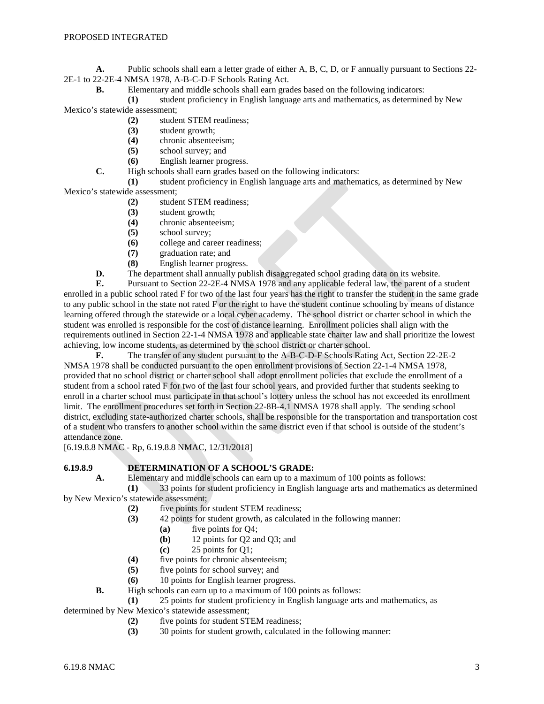**A.** Public schools shall earn a letter grade of either A, B, C, D, or F annually pursuant to Sections 22- 2E-1 to 22-2E-4 NMSA 1978, A-B-C-D-F Schools Rating Act.

**B.** Elementary and middle schools shall earn grades based on the following indicators:

**(1)** student proficiency in English language arts and mathematics, as determined by New Mexico's statewide assessment;

- **(2)** student STEM readiness;
- **(3)** student growth;
- **(4)** chronic absenteeism;
- **(5)** school survey; and
- **(6)** English learner progress.

**C.** High schools shall earn grades based on the following indicators:

**(1)** student proficiency in English language arts and mathematics, as determined by New Mexico's statewide assessment;

- **(2)** student STEM readiness;
	- **(3)** student growth;
	- **(4)** chronic absenteeism;
	- **(5)** school survey;
- **(6)** college and career readiness;
- **(7)** graduation rate; and
- **(8)** English learner progress.

**D.** The department shall annually publish disaggregated school grading data on its website.

**E.** Pursuant to Section 22-2E-4 NMSA 1978 and any applicable federal law, the parent of a student enrolled in a public school rated F for two of the last four years has the right to transfer the student in the same grade to any public school in the state not rated F or the right to have the student continue schooling by means of distance learning offered through the statewide or a local cyber academy. The school district or charter school in which the student was enrolled is responsible for the cost of distance learning. Enrollment policies shall align with the requirements outlined in Section 22-1-4 NMSA 1978 and applicable state charter law and shall prioritize the lowest achieving, low income students, as determined by the school district or charter school.

**F.** The transfer of any student pursuant to the A-B-C-D-F Schools Rating Act, Section 22-2E-2 NMSA 1978 shall be conducted pursuant to the open enrollment provisions of Section 22-1-4 NMSA 1978, provided that no school district or charter school shall adopt enrollment policies that exclude the enrollment of a student from a school rated F for two of the last four school years, and provided further that students seeking to enroll in a charter school must participate in that school's lottery unless the school has not exceeded its enrollment limit. The enrollment procedures set forth in Section 22-8B-4.1 NMSA 1978 shall apply. The sending school district, excluding state-authorized charter schools, shall be responsible for the transportation and transportation cost of a student who transfers to another school within the same district even if that school is outside of the student's attendance zone.

[6.19.8.8 NMAC - Rp, 6.19.8.8 NMAC, 12/31/2018]

# **6.19.8.9 DETERMINATION OF A SCHOOL'S GRADE:**

**A.** Elementary and middle schools can earn up to a maximum of 100 points as follows:

**(1)** 33 points for student proficiency in English language arts and mathematics as determined by New Mexico's statewide assessment;

- **(2)** five points for student STEM readiness;
- **(3)** 42 points for student growth, as calculated in the following manner:
	- **(a)** five points for Q4;
	- **(b)** 12 points for Q2 and Q3; and
	- **(c)** 25 points for Q1;
- **(4)** five points for chronic absenteeism;
- **(5)** five points for school survey; and
- **(6)** 10 points for English learner progress.
- **B.** High schools can earn up to a maximum of 100 points as follows:

**(1)** 25 points for student proficiency in English language arts and mathematics, as

determined by New Mexico's statewide assessment;

- **(2)** five points for student STEM readiness;
- **(3)** 30 points for student growth, calculated in the following manner: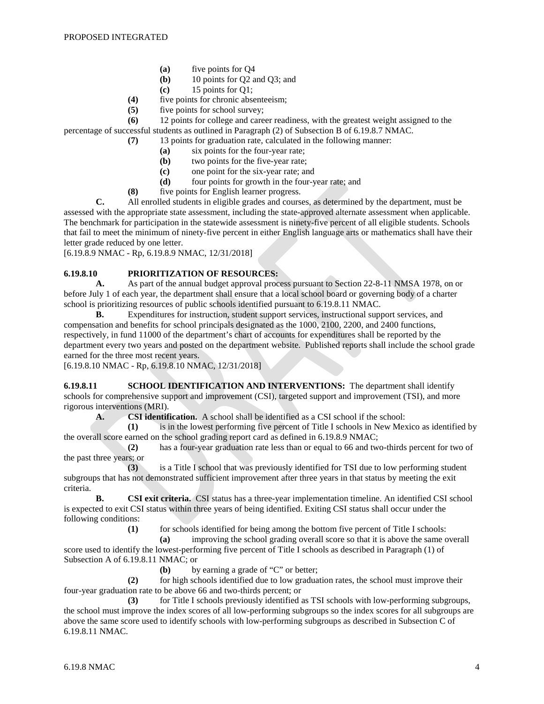- **(a)** five points for Q4
- **(b)** 10 points for Q2 and Q3; and
- **(c)** 15 points for Q1;
- **(4)** five points for chronic absenteeism;
- **(5)** five points for school survey;

**(6)** 12 points for college and career readiness, with the greatest weight assigned to the percentage of successful students as outlined in Paragraph (2) of Subsection B of 6.19.8.7 NMAC.

**(7)** 13 points for graduation rate, calculated in the following manner:

- **(a)** six points for the four-year rate;
- **(b)** two points for the five-year rate;
- **(c)** one point for the six-year rate; and<br>**(d)** four points for growth in the four-v
- four points for growth in the four-year rate; and
- **(8)** five points for English learner progress.

**C.** All enrolled students in eligible grades and courses, as determined by the department, must be assessed with the appropriate state assessment, including the state-approved alternate assessment when applicable. The benchmark for participation in the statewide assessment is ninety-five percent of all eligible students. Schools that fail to meet the minimum of ninety-five percent in either English language arts or mathematics shall have their letter grade reduced by one letter.

[6.19.8.9 NMAC - Rp, 6.19.8.9 NMAC, 12/31/2018]

# **6.19.8.10 PRIORITIZATION OF RESOURCES:**

**A.** As part of the annual budget approval process pursuant to Section 22-8-11 NMSA 1978, on or before July 1 of each year, the department shall ensure that a local school board or governing body of a charter school is prioritizing resources of public schools identified pursuant to 6.19.8.11 NMAC.

**B.** Expenditures for instruction, student support services, instructional support services, and compensation and benefits for school principals designated as the 1000, 2100, 2200, and 2400 functions, respectively, in fund 11000 of the department's chart of accounts for expenditures shall be reported by the department every two years and posted on the department website. Published reports shall include the school grade earned for the three most recent years.

[6.19.8.10 NMAC - Rp, 6.19.8.10 NMAC, 12/31/2018]

**6.19.8.11 SCHOOL IDENTIFICATION AND INTERVENTIONS:** The department shall identify schools for comprehensive support and improvement (CSI), targeted support and improvement (TSI), and more rigorous interventions (MRI).

**A. CSI identification.** A school shall be identified as a CSI school if the school:

**(1)** is in the lowest performing five percent of Title I schools in New Mexico as identified by the overall score earned on the school grading report card as defined in 6.19.8.9 NMAC;

**(2)** has a four-year graduation rate less than or equal to 66 and two-thirds percent for two of the past three years; or

**(3)** is a Title I school that was previously identified for TSI due to low performing student subgroups that has not demonstrated sufficient improvement after three years in that status by meeting the exit criteria.

**B. CSI exit criteria.** CSI status has a three-year implementation timeline. An identified CSI school is expected to exit CSI status within three years of being identified. Exiting CSI status shall occur under the following conditions:

**(1)** for schools identified for being among the bottom five percent of Title I schools:

**(a)** improving the school grading overall score so that it is above the same overall score used to identify the lowest-performing five percent of Title I schools as described in Paragraph (1) of

Subsection A of 6.19.8.11 NMAC; or

**(b)** by earning a grade of "C" or better;

**(2)** for high schools identified due to low graduation rates, the school must improve their four-year graduation rate to be above 66 and two-thirds percent; or

**(3)** for Title I schools previously identified as TSI schools with low-performing subgroups, the school must improve the index scores of all low-performing subgroups so the index scores for all subgroups are above the same score used to identify schools with low-performing subgroups as described in Subsection C of 6.19.8.11 NMAC.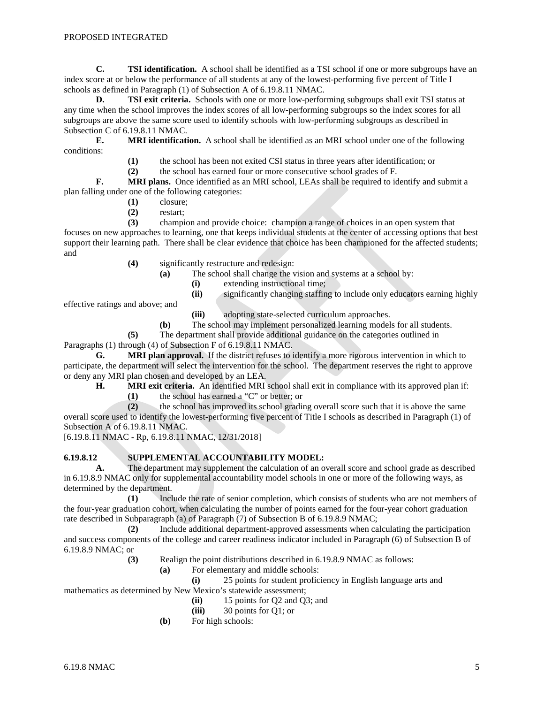**C. TSI identification.** A school shall be identified as a TSI school if one or more subgroups have an index score at or below the performance of all students at any of the lowest-performing five percent of Title I schools as defined in Paragraph (1) of Subsection A of 6.19.8.11 NMAC.

**D. TSI exit criteria.** Schools with one or more low-performing subgroups shall exit TSI status at any time when the school improves the index scores of all low-performing subgroups so the index scores for all subgroups are above the same score used to identify schools with low-performing subgroups as described in Subsection C of 6.19.8.11 NMAC.

**E. MRI identification.** A school shall be identified as an MRI school under one of the following conditions:

**(1)** the school has been not exited CSI status in three years after identification; or

**(2)** the school has earned four or more consecutive school grades of F.

**F. MRI plans.** Once identified as an MRI school, LEAs shall be required to identify and submit a plan falling under one of the following categories:

- **(1)** closure;
	- **(2)** restart;

**(3)** champion and provide choice: champion a range of choices in an open system that focuses on new approaches to learning, one that keeps individual students at the center of accessing options that best support their learning path. There shall be clear evidence that choice has been championed for the affected students; and

- **(4)** significantly restructure and redesign:
	- **(a)** The school shall change the vision and systems at a school by:
		- (i) extending instructional time;<br>(ii) significantly changing staffin
			- significantly changing staffing to include only educators earning highly

effective ratings and above; and

**(iii)** adopting state-selected curriculum approaches.

**(b)** The school may implement personalized learning models for all students.

**(5)** The department shall provide additional guidance on the categories outlined in

Paragraphs (1) through (4) of Subsection F of 6.19.8.11 NMAC.

**G. MRI plan approval.** If the district refuses to identify a more rigorous intervention in which to participate, the department will select the intervention for the school. The department reserves the right to approve or deny any MRI plan chosen and developed by an LEA.

**H. MRI exit criteria.** An identified MRI school shall exit in compliance with its approved plan if:

**(1)** the school has earned a "C" or better; or

**(2)** the school has improved its school grading overall score such that it is above the same overall score used to identify the lowest-performing five percent of Title I schools as described in Paragraph (1) of Subsection A of 6.19.8.11 NMAC.

[6.19.8.11 NMAC - Rp, 6.19.8.11 NMAC, 12/31/2018]

### **6.19.8.12 SUPPLEMENTAL ACCOUNTABILITY MODEL:**

**A.** The department may supplement the calculation of an overall score and school grade as described in 6.19.8.9 NMAC only for supplemental accountability model schools in one or more of the following ways, as determined by the department.

**(1)** Include the rate of senior completion, which consists of students who are not members of the four-year graduation cohort, when calculating the number of points earned for the four-year cohort graduation rate described in Subparagraph (a) of Paragraph (7) of Subsection B of 6.19.8.9 NMAC;

**(2)** Include additional department-approved assessments when calculating the participation and success components of the college and career readiness indicator included in Paragraph (6) of Subsection B of 6.19.8.9 NMAC; or

**(3)** Realign the point distributions described in 6.19.8.9 NMAC as follows:

**(a)** For elementary and middle schools:

**(i)** 25 points for student proficiency in English language arts and mathematics as determined by New Mexico's statewide assessment;

- **(ii)** 15 points for Q2 and Q3; and
- **(iii)** 30 points for Q1; or
- **(b)** For high schools: